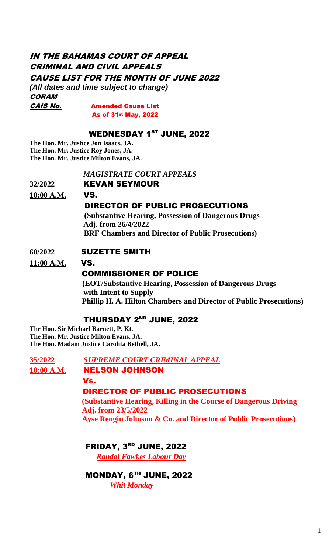# IN THE BAHAMAS COURT OF APPEAL CRIMINAL AND CIVIL APPEALS CAUSE LIST FOR THE MONTH OF JUNE 2022

*(All dates and time subject to change)* **CORAM** CAIS No. Amended Cause List

As of 31st May, 2022

## WEDNESDAY 1 ST JUNE, 2022

**The Hon. Mr. Justice Jon Isaacs, JA. The Hon. Mr. Justice Roy Jones, JA. The Hon. Mr. Justice Milton Evans, JA.**

#### *MAGISTRATE COURT APPEALS*

**32/2022** KEVAN SEYMOUR

**10:00 A.M.** VS.

## DIRECTOR OF PUBLIC PROSECUTIONS

 **(Substantive Hearing, Possession of Dangerous Drugs Adj. from 26/4/2022 BRF Chambers and Director of Public Prosecutions)**

## **60/2022** SUZETTE SMITH

**11:00 A.M.** VS.

## COMMISSIONER OF POLICE

 **(EOT/Substantive Hearing, Possession of Dangerous Drugs with Intent to Supply Phillip H. A. Hilton Chambers and Director of Public Prosecutions)**

## THURSDAY 2<sup>ND</sup> JUNE, 2022

**The Hon. Sir Michael Barnett, P. Kt. The Hon. Mr. Justice Milton Evans, JA. The Hon. Madam Justice Carolita Bethell, JA.** 

**35/2022** *SUPREME COURT CRIMINAL APPEAL* 10:00 A.M. **NELSON JOHNSON**  Vs. DIRECTOR OF PUBLIC PROSECUTIONS  **(Substantive Hearing, Killing in the Course of Dangerous Driving Adj. from 23/5/2022 Ayse Rengin Johnson & Co. and Director of Public Prosecutions)**

FRIDAY, 3 RD JUNE, 2022

 *Randol Fawkes Labour Day*

 MONDAY, 6 TH JUNE, 2022 *Whit Monday*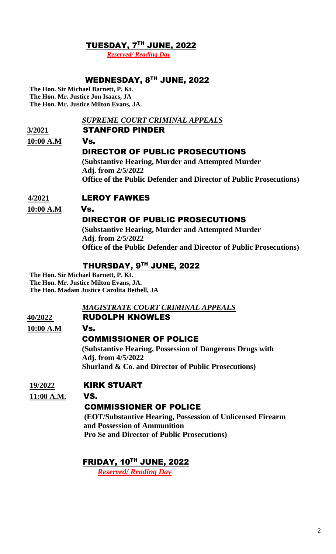## TUESDAY, 7 TH JUNE, 2022

 *Reserved/ Reading Day*

## WEDNESDAY, 8TH JUNE, 2022

**The Hon. Sir Michael Barnett, P. Kt. The Hon. Mr. Justice Jon Isaacs, JA The Hon. Mr. Justice Milton Evans, JA.**

#### *SUPREME COURT CRIMINAL APPEALS*

## **3/2021** STANFORD PINDER

**10:00 A.M** Vs.

## DIRECTOR OF PUBLIC PROSECUTIONS

 **(Substantive Hearing, Murder and Attempted Murder Adj. from 2/5/2022 Office of the Public Defender and Director of Public Prosecutions)** 

#### **4/2021** LEROY FAWKES

**10:00 A.M** Vs.

## DIRECTOR OF PUBLIC PROSECUTIONS

 **(Substantive Hearing, Murder and Attempted Murder Adj. from 2/5/2022 Office of the Public Defender and Director of Public Prosecutions)**

## THURSDAY, 9TH JUNE, 2022

**The Hon. Sir Michael Barnett, P. Kt. The Hon. Mr. Justice Milton Evans, JA. The Hon. Madam Justice Carolita Bethell, JA**

## *MAGISTRATE COURT CRIMINAL APPEALS*

#### **40/2022** RUDOLPH KNOWLES

**10:00 A.M** Vs.

## COMMISSIONER OF POLICE

 **(Substantive Hearing, Possession of Dangerous Drugs with Adj. from 4/5/2022 Shurland & Co. and Director of Public Prosecutions)** 

## **19/2022** KIRK STUART

#### **11:00 A.M.** VS.

## COMMISSIONER OF POLICE

 **(EOT/Substantive Hearing, Possession of Unlicensed Firearm and Possession of Ammunition Pro Se and Director of Public Prosecutions)**

## FRIDAY, 10 TH JUNE, 2022

 *Reserved/ Reading Day*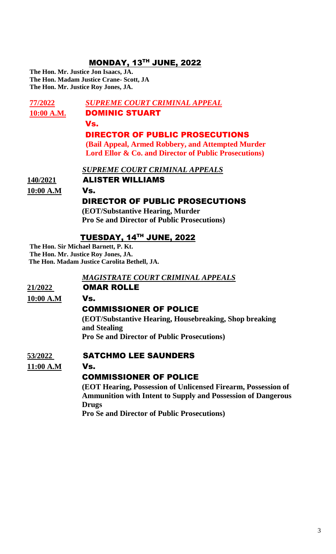## **MONDAY, 13TH JUNE, 2022**

**The Hon. Mr. Justice Jon Isaacs, JA. The Hon. Madam Justice Crane- Scott, JA The Hon. Mr. Justice Roy Jones, JA.**

**77/2022** *SUPREME COURT CRIMINAL APPEAL* 10:00 A.M. **DOMINIC STUART**  Vs. DIRECTOR OF PUBLIC PROSECUTIONS  **(Bail Appeal, Armed Robbery, and Attempted Murder Lord Ellor & Co. and Director of Public Prosecutions)**  *SUPREME COURT CRIMINAL APPEALS* **140/2021** ALISTER WILLIAMS **10:00 A.M** Vs.DIRECTOR OF PUBLIC PROSECUTIONS  **(EOT/Substantive Hearing, Murder Pro Se and Director of Public Prosecutions)** 

## TUESDAY, 14TH JUNE, 2022

**The Hon. Sir Michael Barnett, P. Kt. The Hon. Mr. Justice Roy Jones, JA. The Hon. Madam Justice Carolita Bethell, JA.**

#### *MAGISTRATE COURT CRIMINAL APPEALS*

## **21/2022** OMAR ROLLE

**10:00 A.M** Vs.

## COMMISSIONER OF POLICE

 **(EOT/Substantive Hearing, Housebreaking, Shop breaking and Stealing Pro Se and Director of Public Prosecutions)** 

#### **53/2022** SATCHMO LEE SAUNDERS

**11:00 A.M** Vs.

## COMMISSIONER OF POLICE

 **(EOT Hearing, Possession of Unlicensed Firearm, Possession of Ammunition with Intent to Supply and Possession of Dangerous Drugs**

 **Pro Se and Director of Public Prosecutions)**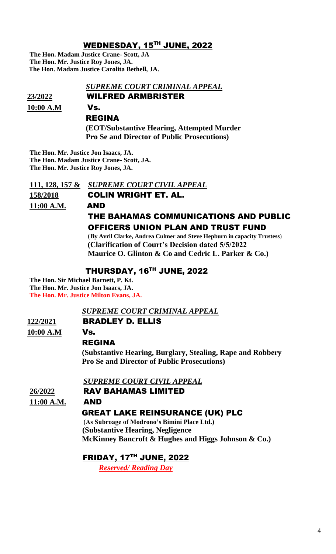## WEDNESDAY, 15 TH JUNE, 2022

**The Hon. Madam Justice Crane- Scott, JA The Hon. Mr. Justice Roy Jones, JA. The Hon. Madam Justice Carolita Bethell, JA.**

#### *SUPREME COURT CRIMINAL APPEAL*

**23/2022** WILFRED ARMBRISTER

**10:00 A.M** Vs.

# REGINA

 **(EOT/Substantive Hearing, Attempted Murder Pro Se and Director of Public Prosecutions)**

**The Hon. Mr. Justice Jon Isaacs, JA. The Hon. Madam Justice Crane- Scott, JA. The Hon. Mr. Justice Roy Jones, JA.**

**111, 128, 157 &** *SUPREME COURT CIVIL APPEAL* **158/2018** COLIN WRIGHT ET. AL. **11:00 A.M.** AND THE BAHAMAS COMMUNICATIONS AND PUBLIC OFFICERS UNION PLAN AND TRUST FUND

> (**By Avril Clarke, Andrea Culmer and Steve Hepburn in capacity Trustess**)  **(Clarification of Court's Decision dated 5/5/2022 Maurice O. Glinton & Co and Cedric L. Parker & Co.)**

## THURSDAY, 16 TH JUNE, 2022

**The Hon. Sir Michael Barnett, P. Kt. The Hon. Mr. Justice Jon Isaacs, JA. The Hon. Mr. Justice Milton Evans, JA.** 

## *SUPREME COURT CRIMINAL APPEAL*

## **122/2021** BRADLEY D. ELLIS

**10:00 A.M** Vs.

## REGINA

 **(Substantive Hearing, Burglary, Stealing, Rape and Robbery Pro Se and Director of Public Prosecutions)** 

 *SUPREME COURT CIVIL APPEAL* 

## **26/2022** RAV BAHAMAS LIMITED

**11:00 A.M.** AND

## GREAT LAKE REINSURANCE (UK) PLC

 **(As Subroage of Modrono's Bimini Place Ltd.) (Substantive Hearing, Negligence McKinney Bancroft & Hughes and Higgs Johnson & Co.)**

FRIDAY, 17TH JUNE, 2022

 *Reserved/ Reading Day*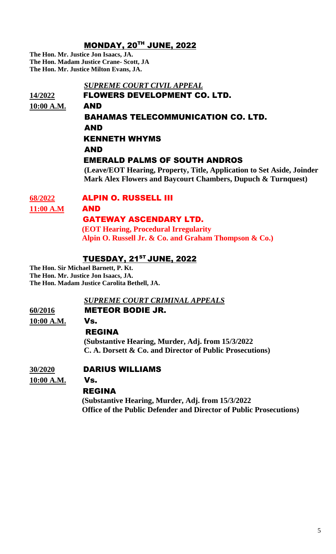## MONDAY, 20 TH JUNE, 2022

**The Hon. Mr. Justice Jon Isaacs, JA. The Hon. Madam Justice Crane- Scott, JA The Hon. Mr. Justice Milton Evans, JA.**

# *SUPREME COURT CIVIL APPEAL*  **14/2022** FLOWERS DEVELOPMENT CO. LTD. **10:00 A.M.** AND BAHAMAS TELECOMMUNICATION CO. LTD. AND KENNETH WHYMS AND EMERALD PALMS OF SOUTH ANDROS  **(Leave/EOT Hearing, Property, Title, Application to Set Aside, Joinder Mark Alex Flowers and Baycourt Chambers, Dupuch & Turnquest)**

## **68/2022** ALPIN O. RUSSELL III

**11:00 A.M** AND

## GATEWAY ASCENDARY LTD.

 **(EOT Hearing, Procedural Irregularity Alpin O. Russell Jr. & Co. and Graham Thompson & Co.)**

## TUESDAY, 21<sup>st</sup> JUNE, 2022

**The Hon. Sir Michael Barnett, P. Kt. The Hon. Mr. Justice Jon Isaacs, JA. The Hon. Madam Justice Carolita Bethell, JA.**

 *SUPREME COURT CRIMINAL APPEALS*

**60/2016** METEOR BODIE JR.

**10:00 A.M.** Vs.

## REGINA

 **(Substantive Hearing, Murder, Adj. from 15/3/2022 C. A. Dorsett & Co. and Director of Public Prosecutions)**

## **30/2020** DARIUS WILLIAMS

**10:00 A.M.** Vs.

## REGINA

 **(Substantive Hearing, Murder, Adj. from 15/3/2022 Office of the Public Defender and Director of Public Prosecutions)**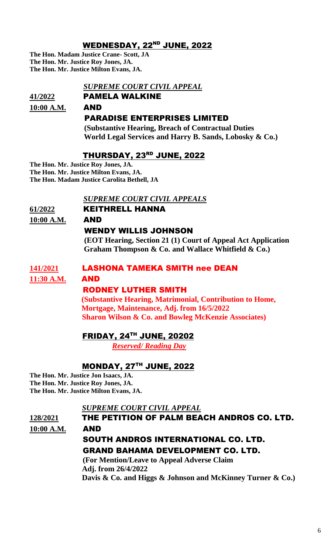## WEDNESDAY, 22<sup>ND</sup> JUNE, 2022

**The Hon. Madam Justice Crane- Scott, JA The Hon. Mr. Justice Roy Jones, JA.** **The Hon. Mr. Justice Milton Evans, JA.** 

#### *SUPREME COURT CIVIL APPEAL*

**41/2022** PAMELA WALKINE

## **10:00 A.M.** AND

## PARADISE ENTERPRISES LIMITED

 **(Substantive Hearing, Breach of Contractual Duties World Legal Services and Harry B. Sands, Lobosky & Co.)**

## THURSDAY, 23 RD JUNE, 2022

**The Hon. Mr. Justice Roy Jones, JA. The Hon. Mr. Justice Milton Evans, JA. The Hon. Madam Justice Carolita Bethell, JA**

#### *SUPREME COURT CIVIL APPEALS*

## **61/2022** KEITHRELL HANNA

**10:00 A.M.** AND

## WENDY WILLIS JOHNSON

 **(EOT Hearing, Section 21 (1) Court of Appeal Act Application Graham Thompson & Co. and Wallace Whitfield & Co.)**

#### **141/2021** LASHONA TAMEKA SMITH nee DEAN

#### **11:30 A.M.** AND

## RODNEY LUTHER SMITH

**(Substantive Hearing, Matrimonial, Contribution to Home, Mortgage, Maintenance, Adj. from 16/5/2022 Sharon Wilson & Co. and Bowleg McKenzie Associates)**

## FRIDAY, 24 TH JUNE, 20202

 *Reserved/ Reading Day*

## MONDAY, 27TH JUNE, 2022

**The Hon. Mr. Justice Jon Isaacs, JA. The Hon. Mr. Justice Roy Jones, JA. The Hon. Mr. Justice Milton Evans, JA.**

 *SUPREME COURT CIVIL APPEAL*

**128/2021** THE PETITION OF PALM BEACH ANDROS CO. LTD. **10:00 A.M.** AND SOUTH ANDROS INTERNATIONAL CO. LTD. GRAND BAHAMA DEVELOPMENT CO. LTD.

> **(For Mention/Leave to Appeal Adverse Claim Adj. from 26/4/2022 Davis & Co. and Higgs & Johnson and McKinney Turner & Co.)**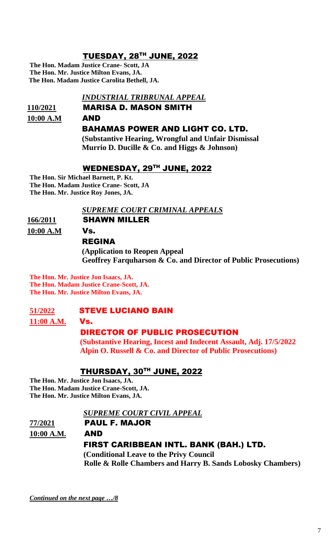## TUESDAY, 28 TH JUNE, 2022

**The Hon. Madam Justice Crane- Scott, JA The Hon. Mr. Justice Milton Evans, JA. The Hon. Madam Justice Carolita Bethell, JA.**

#### *INDUSTRIAL TRIBRUNAL APPEAL*

# **110/2021** MARISA D. MASON SMITH

#### **10:00 A.M** AND

#### BAHAMAS POWER AND LIGHT CO. LTD.

 **(Substantive Hearing, Wrongful and Unfair Dismissal Murrio D. Ducille & Co. and Higgs & Johnson)** 

## WEDNESDAY, 29 TH JUNE, 2022

**The Hon. Sir Michael Barnett, P. Kt. The Hon. Madam Justice Crane- Scott, JA The Hon. Mr. Justice Roy Jones, JA.**

 *SUPREME COURT CRIMINAL APPEALS*

#### **166/2011** SHAWN MILLER

**10:00 A.M** Vs.

# REGINA

## **(Application to Reopen Appeal Geoffrey Farquharson & Co. and Director of Public Prosecutions)**

**The Hon. Mr. Justice Jon Isaacs, JA. The Hon. Madam Justice Crane-Scott, JA. The Hon. Mr. Justice Milton Evans, JA.**

## **51/2022** STEVE LUCIANO BAIN

**11:00 A.M.** Vs.

## DIRECTOR OF PUBLIC PROSECUTION

 **(Substantive Hearing, Incest and Indecent Assault, Adj. 17/5/2022 Alpin O. Russell & Co. and Director of Public Prosecutions)**

## THURSDAY, 30TH JUNE, 2022

**The Hon. Mr. Justice Jon Isaacs, JA. The Hon. Madam Justice Crane-Scott, JA. The Hon. Mr. Justice Milton Evans, JA.**

#### *SUPREME COURT CIVIL APPEAL*

# **77/2021** PAUL F. MAJOR

**10:00 A.M.** AND

#### FIRST CARIBBEAN INTL. BANK (BAH.) LTD.

 **(Conditional Leave to the Privy Council Rolle & Rolle Chambers and Harry B. Sands Lobosky Chambers)** 

*Continued on the next page …/8*